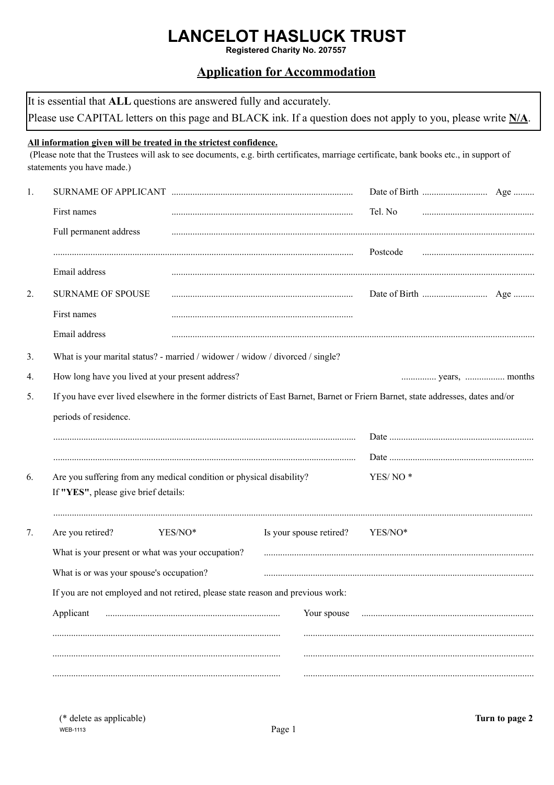# **LANCELOT HASLUCK TRUST**

Registered Charity No. 207557

# **Application for Accommodation**

| All information given will be treated in the strictest confidence.<br>(Please note that the Trustees will ask to see documents, e.g. birth certificates, marriage certificate, bank books etc., in support of<br>statements you have made.)<br>First names<br>Tel. No<br>Full permanent address<br>Postcode<br>Email address<br><b>SURNAME OF SPOUSE</b><br>First names<br>Email address<br>What is your marital status? - married / widower / widow / divorced / single?<br>How long have you lived at your present address?<br>If you have ever lived elsewhere in the former districts of East Barnet, Barnet or Friern Barnet, state addresses, dates and/or<br>periods of residence.<br>Are you suffering from any medical condition or physical disability?<br>YES/NO <sup>*</sup><br>If "YES", please give brief details:<br>Are you retired?<br>Is your spouse retired?<br>YES/NO*<br>YES/NO*<br>What is your present or what was your occupation?<br>What is or was your spouse's occupation?<br>If you are not employed and not retired, please state reason and previous work:<br>Applicant<br>Your spouse |  | It is essential that ALL questions are answered fully and accurately.<br>Please use CAPITAL letters on this page and BLACK ink. If a question does not apply to you, please write $N/A$ . |  |  |  |  |
|-----------------------------------------------------------------------------------------------------------------------------------------------------------------------------------------------------------------------------------------------------------------------------------------------------------------------------------------------------------------------------------------------------------------------------------------------------------------------------------------------------------------------------------------------------------------------------------------------------------------------------------------------------------------------------------------------------------------------------------------------------------------------------------------------------------------------------------------------------------------------------------------------------------------------------------------------------------------------------------------------------------------------------------------------------------------------------------------------------------------------|--|-------------------------------------------------------------------------------------------------------------------------------------------------------------------------------------------|--|--|--|--|
| 1.<br>2.<br>3 <sub>1</sub><br>4.<br>5.<br>6.<br>7.                                                                                                                                                                                                                                                                                                                                                                                                                                                                                                                                                                                                                                                                                                                                                                                                                                                                                                                                                                                                                                                                    |  |                                                                                                                                                                                           |  |  |  |  |
|                                                                                                                                                                                                                                                                                                                                                                                                                                                                                                                                                                                                                                                                                                                                                                                                                                                                                                                                                                                                                                                                                                                       |  |                                                                                                                                                                                           |  |  |  |  |
|                                                                                                                                                                                                                                                                                                                                                                                                                                                                                                                                                                                                                                                                                                                                                                                                                                                                                                                                                                                                                                                                                                                       |  |                                                                                                                                                                                           |  |  |  |  |
|                                                                                                                                                                                                                                                                                                                                                                                                                                                                                                                                                                                                                                                                                                                                                                                                                                                                                                                                                                                                                                                                                                                       |  |                                                                                                                                                                                           |  |  |  |  |
|                                                                                                                                                                                                                                                                                                                                                                                                                                                                                                                                                                                                                                                                                                                                                                                                                                                                                                                                                                                                                                                                                                                       |  |                                                                                                                                                                                           |  |  |  |  |
|                                                                                                                                                                                                                                                                                                                                                                                                                                                                                                                                                                                                                                                                                                                                                                                                                                                                                                                                                                                                                                                                                                                       |  |                                                                                                                                                                                           |  |  |  |  |
|                                                                                                                                                                                                                                                                                                                                                                                                                                                                                                                                                                                                                                                                                                                                                                                                                                                                                                                                                                                                                                                                                                                       |  |                                                                                                                                                                                           |  |  |  |  |
|                                                                                                                                                                                                                                                                                                                                                                                                                                                                                                                                                                                                                                                                                                                                                                                                                                                                                                                                                                                                                                                                                                                       |  |                                                                                                                                                                                           |  |  |  |  |
|                                                                                                                                                                                                                                                                                                                                                                                                                                                                                                                                                                                                                                                                                                                                                                                                                                                                                                                                                                                                                                                                                                                       |  |                                                                                                                                                                                           |  |  |  |  |
|                                                                                                                                                                                                                                                                                                                                                                                                                                                                                                                                                                                                                                                                                                                                                                                                                                                                                                                                                                                                                                                                                                                       |  |                                                                                                                                                                                           |  |  |  |  |
|                                                                                                                                                                                                                                                                                                                                                                                                                                                                                                                                                                                                                                                                                                                                                                                                                                                                                                                                                                                                                                                                                                                       |  |                                                                                                                                                                                           |  |  |  |  |
|                                                                                                                                                                                                                                                                                                                                                                                                                                                                                                                                                                                                                                                                                                                                                                                                                                                                                                                                                                                                                                                                                                                       |  |                                                                                                                                                                                           |  |  |  |  |
|                                                                                                                                                                                                                                                                                                                                                                                                                                                                                                                                                                                                                                                                                                                                                                                                                                                                                                                                                                                                                                                                                                                       |  |                                                                                                                                                                                           |  |  |  |  |
|                                                                                                                                                                                                                                                                                                                                                                                                                                                                                                                                                                                                                                                                                                                                                                                                                                                                                                                                                                                                                                                                                                                       |  |                                                                                                                                                                                           |  |  |  |  |
|                                                                                                                                                                                                                                                                                                                                                                                                                                                                                                                                                                                                                                                                                                                                                                                                                                                                                                                                                                                                                                                                                                                       |  |                                                                                                                                                                                           |  |  |  |  |
|                                                                                                                                                                                                                                                                                                                                                                                                                                                                                                                                                                                                                                                                                                                                                                                                                                                                                                                                                                                                                                                                                                                       |  |                                                                                                                                                                                           |  |  |  |  |
|                                                                                                                                                                                                                                                                                                                                                                                                                                                                                                                                                                                                                                                                                                                                                                                                                                                                                                                                                                                                                                                                                                                       |  |                                                                                                                                                                                           |  |  |  |  |
|                                                                                                                                                                                                                                                                                                                                                                                                                                                                                                                                                                                                                                                                                                                                                                                                                                                                                                                                                                                                                                                                                                                       |  |                                                                                                                                                                                           |  |  |  |  |
|                                                                                                                                                                                                                                                                                                                                                                                                                                                                                                                                                                                                                                                                                                                                                                                                                                                                                                                                                                                                                                                                                                                       |  |                                                                                                                                                                                           |  |  |  |  |
|                                                                                                                                                                                                                                                                                                                                                                                                                                                                                                                                                                                                                                                                                                                                                                                                                                                                                                                                                                                                                                                                                                                       |  |                                                                                                                                                                                           |  |  |  |  |
|                                                                                                                                                                                                                                                                                                                                                                                                                                                                                                                                                                                                                                                                                                                                                                                                                                                                                                                                                                                                                                                                                                                       |  |                                                                                                                                                                                           |  |  |  |  |
|                                                                                                                                                                                                                                                                                                                                                                                                                                                                                                                                                                                                                                                                                                                                                                                                                                                                                                                                                                                                                                                                                                                       |  |                                                                                                                                                                                           |  |  |  |  |
|                                                                                                                                                                                                                                                                                                                                                                                                                                                                                                                                                                                                                                                                                                                                                                                                                                                                                                                                                                                                                                                                                                                       |  |                                                                                                                                                                                           |  |  |  |  |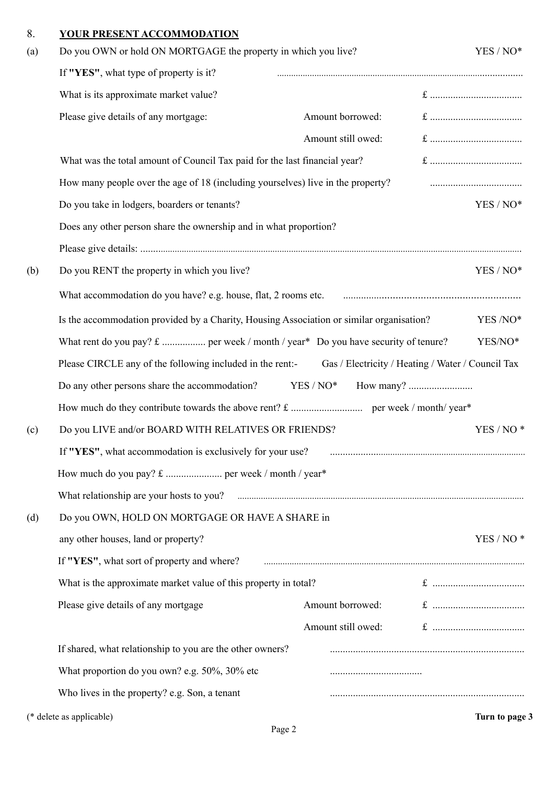### 8. **YOUR PRESENT ACCOMMODATION**

| (a) | Do you OWN or hold ON MORTGAGE the property in which you live?                                                                                                                                                                       |                                                   |  | YES / NO*      |  |
|-----|--------------------------------------------------------------------------------------------------------------------------------------------------------------------------------------------------------------------------------------|---------------------------------------------------|--|----------------|--|
|     | If "YES", what type of property is it?                                                                                                                                                                                               |                                                   |  |                |  |
|     | What is its approximate market value?                                                                                                                                                                                                |                                                   |  |                |  |
|     | Please give details of any mortgage:                                                                                                                                                                                                 | Amount borrowed:                                  |  |                |  |
|     |                                                                                                                                                                                                                                      | Amount still owed:                                |  |                |  |
|     | What was the total amount of Council Tax paid for the last financial year?                                                                                                                                                           |                                                   |  |                |  |
|     | How many people over the age of 18 (including yourselves) live in the property?                                                                                                                                                      |                                                   |  |                |  |
|     | Do you take in lodgers, boarders or tenants?                                                                                                                                                                                         |                                                   |  | YES / NO*      |  |
|     | Does any other person share the ownership and in what proportion?                                                                                                                                                                    |                                                   |  |                |  |
|     |                                                                                                                                                                                                                                      |                                                   |  |                |  |
| (b) | Do you RENT the property in which you live?                                                                                                                                                                                          |                                                   |  | YES / NO*      |  |
|     | What accommodation do you have? e.g. house, flat, 2 rooms etc.                                                                                                                                                                       |                                                   |  |                |  |
|     | Is the accommodation provided by a Charity, Housing Association or similar organisation?                                                                                                                                             |                                                   |  | YES /NO*       |  |
|     |                                                                                                                                                                                                                                      |                                                   |  | YES/NO*        |  |
|     | Please CIRCLE any of the following included in the rent:-                                                                                                                                                                            | Gas / Electricity / Heating / Water / Council Tax |  |                |  |
|     | Do any other persons share the accommodation?                                                                                                                                                                                        | $YES / NO*$                                       |  |                |  |
|     |                                                                                                                                                                                                                                      |                                                   |  |                |  |
| (c) | Do you LIVE and/or BOARD WITH RELATIVES OR FRIENDS?                                                                                                                                                                                  |                                                   |  | $YES/NO*$      |  |
|     | If "YES", what accommodation is exclusively for your use?                                                                                                                                                                            |                                                   |  |                |  |
|     |                                                                                                                                                                                                                                      |                                                   |  |                |  |
|     | What relationship are your hosts to you? <b>Material Contract and Separate State and Separate State and Separate State and Separate State and Separate State and Separate State and Separate State and Separate State and Separa</b> |                                                   |  |                |  |
| (d) | Do you OWN, HOLD ON MORTGAGE OR HAVE A SHARE in                                                                                                                                                                                      |                                                   |  |                |  |
|     | any other houses, land or property?                                                                                                                                                                                                  |                                                   |  | $YES/NO*$      |  |
|     | If "YES", what sort of property and where?                                                                                                                                                                                           |                                                   |  |                |  |
|     | What is the approximate market value of this property in total?                                                                                                                                                                      |                                                   |  |                |  |
|     | Please give details of any mortgage                                                                                                                                                                                                  | Amount borrowed:                                  |  |                |  |
|     |                                                                                                                                                                                                                                      | Amount still owed:                                |  |                |  |
|     | If shared, what relationship to you are the other owners?                                                                                                                                                                            |                                                   |  |                |  |
|     | What proportion do you own? e.g. 50%, 30% etc                                                                                                                                                                                        |                                                   |  |                |  |
|     | Who lives in the property? e.g. Son, a tenant                                                                                                                                                                                        |                                                   |  |                |  |
|     | (* delete as applicable)                                                                                                                                                                                                             |                                                   |  | Turn to page 3 |  |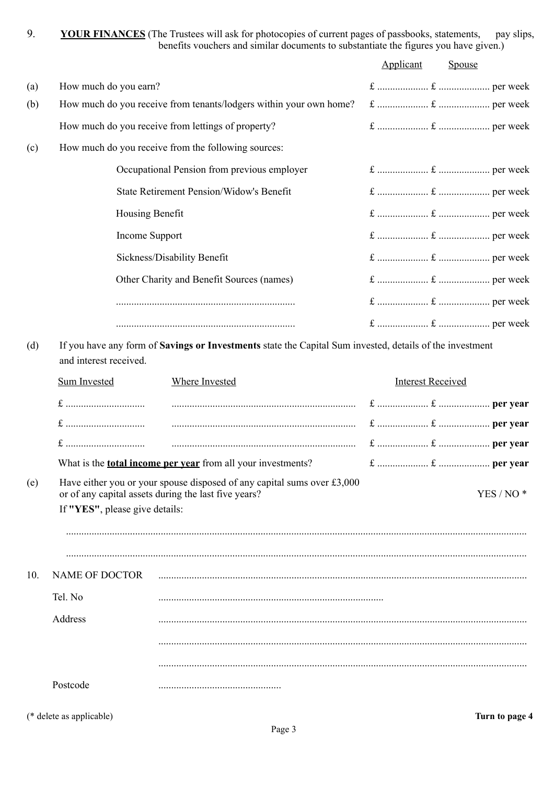9. **YOUR FINANCES** (The Trustees will ask for photocopies of current pages of passbooks, statements, pay slips, benefits vouchers and similar documents to substantiate the figures you have given.)

|     |                                                                                                                                                                                                                                            |                                                                    | Applicant                | Spouse    |
|-----|--------------------------------------------------------------------------------------------------------------------------------------------------------------------------------------------------------------------------------------------|--------------------------------------------------------------------|--------------------------|-----------|
| (a) | How much do you earn?                                                                                                                                                                                                                      |                                                                    |                          |           |
| (b) |                                                                                                                                                                                                                                            | How much do you receive from tenants/lodgers within your own home? |                          |           |
|     |                                                                                                                                                                                                                                            | How much do you receive from lettings of property?                 |                          |           |
| (c) |                                                                                                                                                                                                                                            | How much do you receive from the following sources:                |                          |           |
|     |                                                                                                                                                                                                                                            | Occupational Pension from previous employer                        |                          |           |
|     |                                                                                                                                                                                                                                            | State Retirement Pension/Widow's Benefit                           |                          |           |
|     | Housing Benefit                                                                                                                                                                                                                            |                                                                    |                          |           |
|     | Income Support                                                                                                                                                                                                                             |                                                                    |                          |           |
|     |                                                                                                                                                                                                                                            | Sickness/Disability Benefit                                        |                          |           |
|     |                                                                                                                                                                                                                                            | Other Charity and Benefit Sources (names)                          |                          |           |
|     |                                                                                                                                                                                                                                            |                                                                    |                          |           |
|     |                                                                                                                                                                                                                                            |                                                                    |                          |           |
|     | and interest received.<br><b>Sum Invested</b>                                                                                                                                                                                              | <b>Where Invested</b>                                              | <b>Interest Received</b> |           |
| (e) | What is the <b>total income per year</b> from all your investments?<br>Have either you or your spouse disposed of any capital sums over $£3,000$<br>or of any capital assets during the last five years?<br>If "YES", please give details: |                                                                    |                          | $YES/NO*$ |
| 10. | <b>NAME OF DOCTOR</b>                                                                                                                                                                                                                      |                                                                    |                          |           |
|     | Tel. No                                                                                                                                                                                                                                    |                                                                    |                          |           |
|     | Address                                                                                                                                                                                                                                    |                                                                    |                          |           |
|     |                                                                                                                                                                                                                                            |                                                                    |                          |           |
|     |                                                                                                                                                                                                                                            |                                                                    |                          |           |
|     | Postcode                                                                                                                                                                                                                                   |                                                                    |                          |           |

(\* delete as applicable) **Turn to page 4**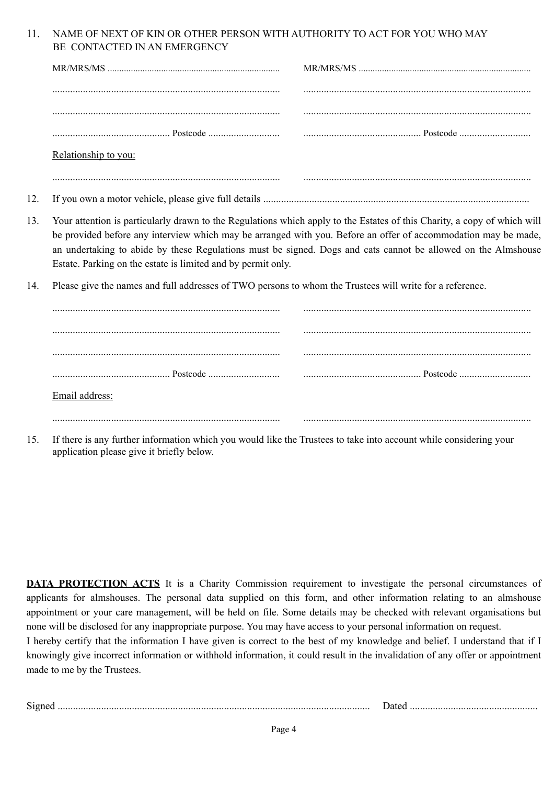#### 11. NAME OF NEXT OF KIN OR OTHER PERSON WITH AUTHORITY TO ACT FOR YOU WHO MAY BE CONTACTED IN AN EMERGENCY

| Relationship to you: |  |
|----------------------|--|
|                      |  |
|                      |  |

- 12. If you own a motor vehicle, please give full details ........................................................................................................
- 13. Your attention is particularly drawn to the Regulations which apply to the Estates of this Charity, a copy of which will be provided before any interview which may be arranged with you. Before an offer of accommodation may be made, an undertaking to abide by these Regulations must be signed. Dogs and cats cannot be allowed on the Almshouse Estate. Parking on the estate is limited and by permit only.
- 14. Please give the names and full addresses of TWO persons to whom the Trustees will write for a reference.

| Email address: |  |
|----------------|--|

15. If there is any further information which you would like the Trustees to take into account while considering your application please give it briefly below.

**DATA PROTECTION ACTS** It is a Charity Commission requirement to investigate the personal circumstances of applicants for almshouses. The personal data supplied on this form, and other information relating to an almshouse appointment or your care management, will be held on file. Some details may be checked with relevant organisations but none will be disclosed for any inappropriate purpose. You may have access to your personal information on request.

I hereby certify that the information I have given is correct to the best of my knowledge and belief. I understand that if I knowingly give incorrect information or withhold information, it could result in the invalidation of any offer or appointment made to me by the Trustees.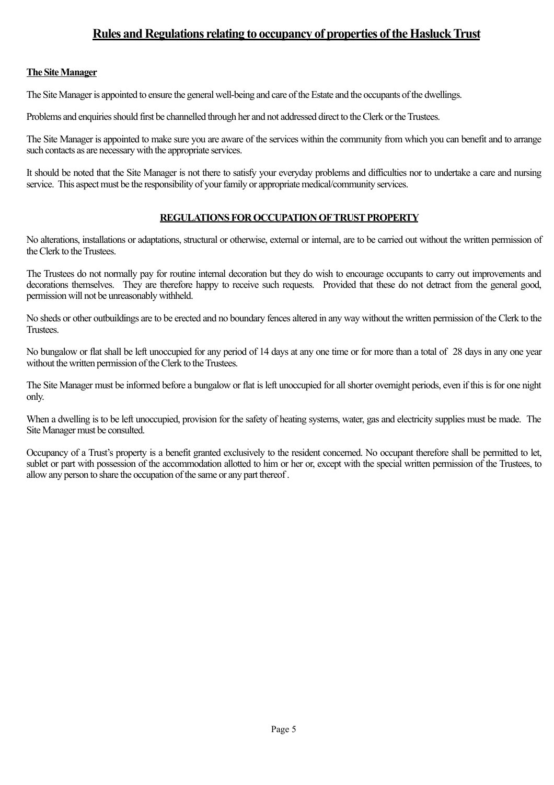## **Rules and Regulations relating to occupancy of properties of the Hasluck Trust**

#### **The Site Manager**

The Site Manager is appointed to ensure the general well-being and care of the Estate and the occupants of the dwellings.

Problems and enquiries should first be channelled through her and not addressed direct to the Clerk or the Trustees.

The Site Manager is appointed to make sure you are aware of the services within the community from which you can benefit and to arrange such contacts as are necessary with the appropriate services.

It should be noted that the Site Manager is not there to satisfy your everyday problems and difficulties nor to undertake a care and nursing service. This aspect must be the responsibility of your family or appropriate medical/community services.

#### **REGULATIONS FOR OCCUPATION OF TRUST PROPERTY**

No alterations, installations or adaptations, structural or otherwise, external or internal, are to be carried out without the written permission of the Clerk to the Trustees.

The Trustees do not normally pay for routine internal decoration but they do wish to encourage occupants to carry out improvements and decorations themselves. They are therefore happy to receive such requests. Provided that these do not detract from the general good, permission will not be unreasonably withheld.

No sheds or other outbuildings are to be erected and no boundary fences altered in any way without the written permission of the Clerk to the Trustees.

No bungalow or flat shall be left unoccupied for any period of 14 days at any one time or for more than a total of 28 days in any one year without the written permission of the Clerk to the Trustees.

The Site Manager must be informed before a bungalow or flat is left unoccupied for all shorter overnight periods, even if this is for one night only.

When a dwelling is to be left unoccupied, provision for the safety of heating systems, water, gas and electricity supplies must be made. The Site Manager must be consulted.

Occupancy of a Trust's property is a benefit granted exclusively to the resident concerned. No occupant therefore shall be permitted to let, sublet or part with possession of the accommodation allotted to him or her or, except with the special written permission of the Trustees, to allow any person to share the occupation of the same or any part thereof .